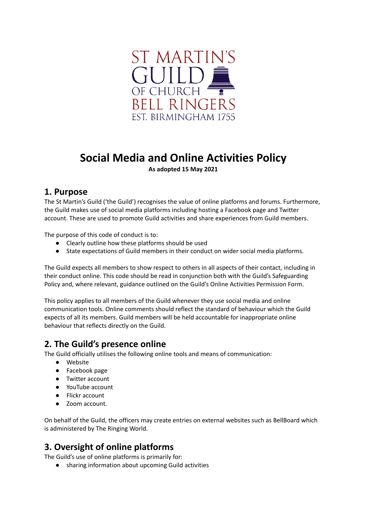

# **Social Media and Online Activities Policy**

**As adopted 15 May 2021**

#### **1. Purpose**

The St Martin's Guild ('the Guild') recognises the value of online platforms and forums. Furthermore, the Guild makes use of social media platforms including hosting a Facebook page and Twitter account. These are used to promote Guild activities and share experiences from Guild members.

The purpose of this code of conduct is to:

- Clearly outline how these platforms should be used
- State expectations of Guild members in their conduct on wider social media platforms.

The Guild expects all members to show respect to others in all aspects of their contact, including in their conduct online. This code should be read in conjunction both with the Guild's Safeguarding Policy and, where relevant, guidance outlined on the Guild's Online Activities Permission Form.

This policy applies to all members of the Guild whenever they use social media and online communication tools. Online comments should reflect the standard of behaviour which the Guild expects of all its members. Guild members will be held accountable for inappropriate online behaviour that reflects directly on the Guild.

# **2. The Guild's presence online**

The Guild officially utilises the following online tools and means of communication:

- Website
- Facebook page
- Twitter account
- YouTube account
- Flickr account
- Zoom account.

On behalf of the Guild, the officers may create entries on external websites such as BellBoard which is administered by The Ringing World.

# **3. Oversight of online platforms**

The Guild's use of online platforms is primarily for:

● sharing information about upcoming Guild activities